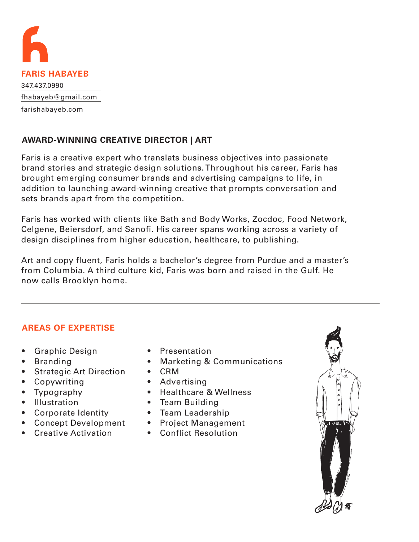

# **AWARD-WINNING CREATIVE DIRECTOR | ART**

Faris is a creative expert who translats business objectives into passionate brand stories and strategic design solutions. Throughout his career, Faris has brought emerging consumer brands and advertising campaigns to life, in addition to launching award-winning creative that prompts conversation and sets brands apart from the competition.

Faris has worked with clients like Bath and Body Works, Zocdoc, Food Network, Celgene, Beiersdorf, and Sanofi. His career spans working across a variety of design disciplines from higher education, healthcare, to publishing.

Art and copy fluent, Faris holds a bachelor's degree from Purdue and a master's from Columbia. A third culture kid, Faris was born and raised in the Gulf. He now calls Brooklyn home.

# **AREAS OF EXPERTISE**

- Graphic Design
- Branding
- Strategic Art Direction
- Copywriting
- Typography
- Illustration
- Corporate Identity
- Concept Development
- Creative Activation
- Presentation
- Marketing & Communications
- CRM
- Advertising
- Healthcare & Wellness
- Team Building
- Team Leadership
- Project Management
- Conflict Resolution